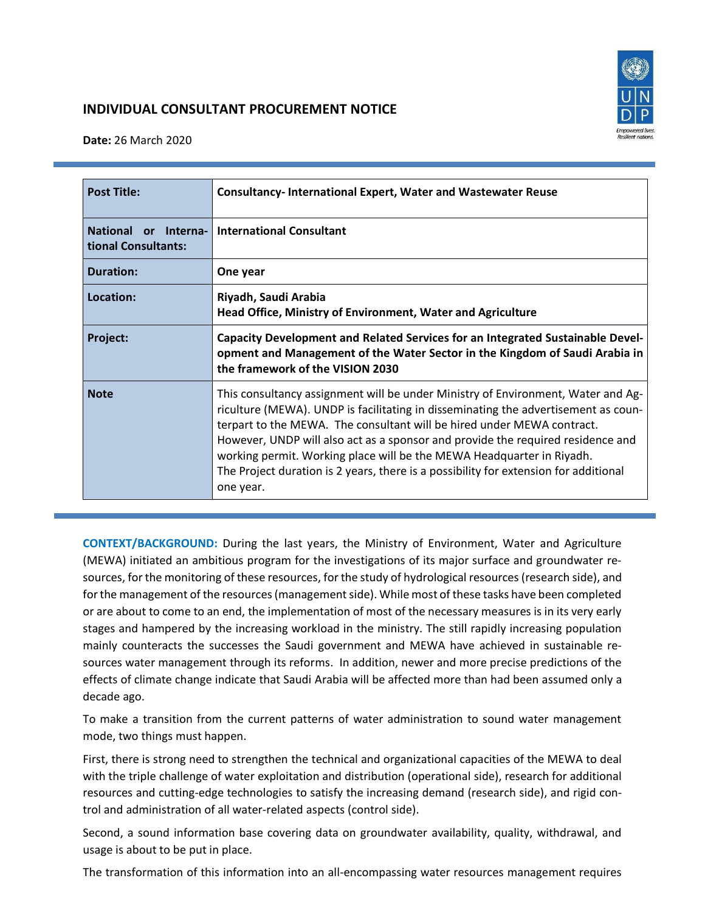

# **INDIVIDUAL CONSULTANT PROCUREMENT NOTICE**

**Date:** 26 March 2020

| <b>Post Title:</b>                          | <b>Consultancy-International Expert, Water and Wastewater Reuse</b>                                                                                                                                                                                                                                                                                                                                                                                                                                               |
|---------------------------------------------|-------------------------------------------------------------------------------------------------------------------------------------------------------------------------------------------------------------------------------------------------------------------------------------------------------------------------------------------------------------------------------------------------------------------------------------------------------------------------------------------------------------------|
| National or Interna-<br>tional Consultants: | <b>International Consultant</b>                                                                                                                                                                                                                                                                                                                                                                                                                                                                                   |
| <b>Duration:</b>                            | One year                                                                                                                                                                                                                                                                                                                                                                                                                                                                                                          |
| Location:                                   | Riyadh, Saudi Arabia<br>Head Office, Ministry of Environment, Water and Agriculture                                                                                                                                                                                                                                                                                                                                                                                                                               |
| Project:                                    | Capacity Development and Related Services for an Integrated Sustainable Devel-<br>opment and Management of the Water Sector in the Kingdom of Saudi Arabia in<br>the framework of the VISION 2030                                                                                                                                                                                                                                                                                                                 |
| <b>Note</b>                                 | This consultancy assignment will be under Ministry of Environment, Water and Ag-<br>riculture (MEWA). UNDP is facilitating in disseminating the advertisement as coun-<br>terpart to the MEWA. The consultant will be hired under MEWA contract.<br>However, UNDP will also act as a sponsor and provide the required residence and<br>working permit. Working place will be the MEWA Headquarter in Riyadh.<br>The Project duration is 2 years, there is a possibility for extension for additional<br>one year. |

**CONTEXT/BACKGROUND:** During the last years, the Ministry of Environment, Water and Agriculture (MEWA) initiated an ambitious program for the investigations of its major surface and groundwater resources, for the monitoring of these resources, for the study of hydrological resources(research side), and for the management of the resources (management side). While most of these tasks have been completed or are about to come to an end, the implementation of most of the necessary measures is in its very early stages and hampered by the increasing workload in the ministry. The still rapidly increasing population mainly counteracts the successes the Saudi government and MEWA have achieved in sustainable resources water management through its reforms. In addition, newer and more precise predictions of the effects of climate change indicate that Saudi Arabia will be affected more than had been assumed only a decade ago.

To make a transition from the current patterns of water administration to sound water management mode, two things must happen.

First, there is strong need to strengthen the technical and organizational capacities of the MEWA to deal with the triple challenge of water exploitation and distribution (operational side), research for additional resources and cutting-edge technologies to satisfy the increasing demand (research side), and rigid control and administration of all water-related aspects (control side).

Second, a sound information base covering data on groundwater availability, quality, withdrawal, and usage is about to be put in place.

The transformation of this information into an all-encompassing water resources management requires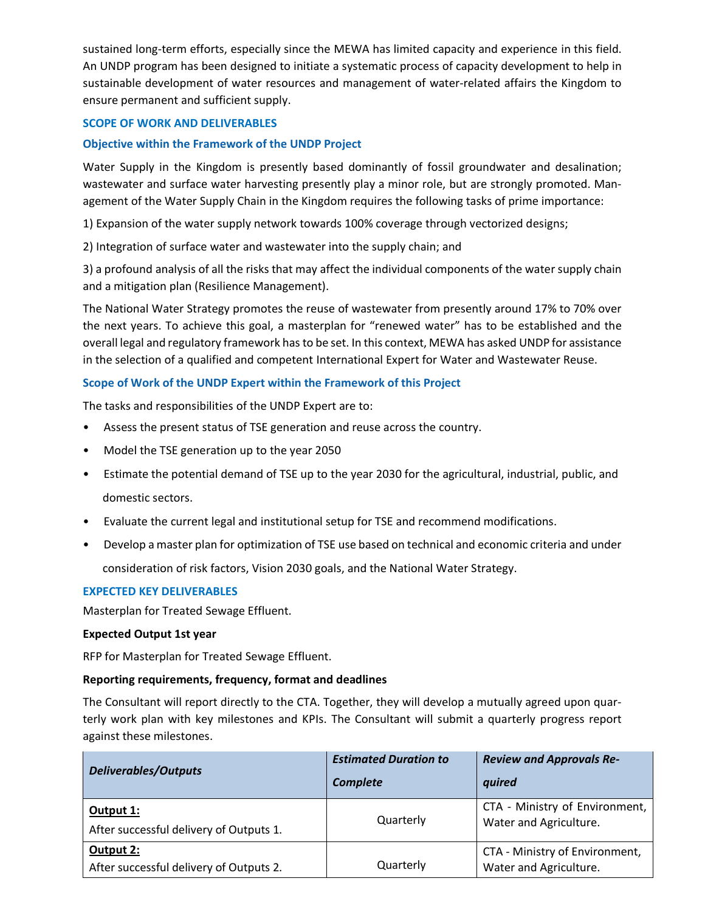sustained long-term efforts, especially since the MEWA has limited capacity and experience in this field. An UNDP program has been designed to initiate a systematic process of capacity development to help in sustainable development of water resources and management of water-related affairs the Kingdom to ensure permanent and sufficient supply.

### **SCOPE OF WORK AND DELIVERABLES**

## **Objective within the Framework of the UNDP Project**

Water Supply in the Kingdom is presently based dominantly of fossil groundwater and desalination; wastewater and surface water harvesting presently play a minor role, but are strongly promoted. Management of the Water Supply Chain in the Kingdom requires the following tasks of prime importance:

1) Expansion of the water supply network towards 100% coverage through vectorized designs;

2) Integration of surface water and wastewater into the supply chain; and

3) a profound analysis of all the risks that may affect the individual components of the water supply chain and a mitigation plan (Resilience Management).

The National Water Strategy promotes the reuse of wastewater from presently around 17% to 70% over the next years. To achieve this goal, a masterplan for "renewed water" has to be established and the overall legal and regulatory framework hasto be set. In this context, MEWA has asked UNDP for assistance in the selection of a qualified and competent International Expert for Water and Wastewater Reuse.

## **Scope of Work of the UNDP Expert within the Framework of this Project**

The tasks and responsibilities of the UNDP Expert are to:

- Assess the present status of TSE generation and reuse across the country.
- Model the TSE generation up to the year 2050
- Estimate the potential demand of TSE up to the year 2030 for the agricultural, industrial, public, and domestic sectors.
- Evaluate the current legal and institutional setup for TSE and recommend modifications.
- Develop a master plan for optimization of TSE use based on technical and economic criteria and under consideration of risk factors, Vision 2030 goals, and the National Water Strategy.

### **EXPECTED KEY DELIVERABLES**

Masterplan for Treated Sewage Effluent.

### **Expected Output 1st year**

RFP for Masterplan for Treated Sewage Effluent.

### **Reporting requirements, frequency, format and deadlines**

The Consultant will report directly to the CTA. Together, they will develop a mutually agreed upon quarterly work plan with key milestones and KPIs. The Consultant will submit a quarterly progress report against these milestones.

| <b>Deliverables/Outputs</b>                          | <b>Estimated Duration to</b><br>Complete | <b>Review and Approvals Re-</b><br>quired                |
|------------------------------------------------------|------------------------------------------|----------------------------------------------------------|
| Output 1:<br>After successful delivery of Outputs 1. | Quarterly                                | CTA - Ministry of Environment,<br>Water and Agriculture. |
| Output 2:<br>After successful delivery of Outputs 2. | Quarterly                                | CTA - Ministry of Environment,<br>Water and Agriculture. |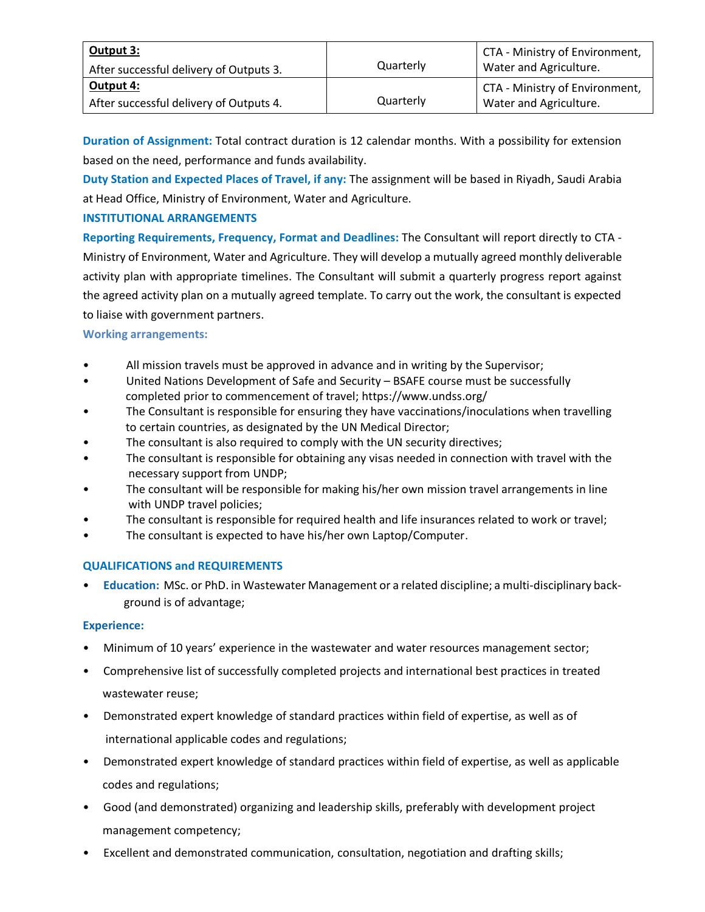| Output 3:<br>After successful delivery of Outputs 3. | Quarterly | CTA - Ministry of Environment,<br>Water and Agriculture. |
|------------------------------------------------------|-----------|----------------------------------------------------------|
| Output 4:<br>After successful delivery of Outputs 4. | Quarterly | CTA - Ministry of Environment,<br>Water and Agriculture. |

**Duration of Assignment:** Total contract duration is 12 calendar months. With a possibility for extension based on the need, performance and funds availability.

**Duty Station and Expected Places of Travel, if any:** The assignment will be based in Riyadh, Saudi Arabia at Head Office, Ministry of Environment, Water and Agriculture.

# **INSTITUTIONAL ARRANGEMENTS**

**Reporting Requirements, Frequency, Format and Deadlines:** The Consultant will report directly to CTA - Ministry of Environment, Water and Agriculture. They will develop a mutually agreed monthly deliverable activity plan with appropriate timelines. The Consultant will submit a quarterly progress report against the agreed activity plan on a mutually agreed template. To carry out the work, the consultant is expected to liaise with government partners.

## **Working arrangements:**

- All mission travels must be approved in advance and in writing by the Supervisor;
- United Nations Development of Safe and Security BSAFE course must be successfully completed prior to commencement of travel; https://www.undss.org/
- The Consultant is responsible for ensuring they have vaccinations/inoculations when travelling to certain countries, as designated by the UN Medical Director;
- The consultant is also required to comply with the UN security directives;
- The consultant is responsible for obtaining any visas needed in connection with travel with the necessary support from UNDP;
- The consultant will be responsible for making his/her own mission travel arrangements in line with UNDP travel policies;
- The consultant is responsible for required health and life insurances related to work or travel;
- The consultant is expected to have his/her own Laptop/Computer.

# **QUALIFICATIONS and REQUIREMENTS**

• **Education:** MSc. or PhD. in Wastewater Management or a related discipline; a multi-disciplinary background is of advantage;

### **Experience:**

- Minimum of 10 years' experience in the wastewater and water resources management sector;
- Comprehensive list of successfully completed projects and international best practices in treated wastewater reuse;
- Demonstrated expert knowledge of standard practices within field of expertise, as well as of international applicable codes and regulations;
- Demonstrated expert knowledge of standard practices within field of expertise, as well as applicable codes and regulations;
- Good (and demonstrated) organizing and leadership skills, preferably with development project management competency;
- Excellent and demonstrated communication, consultation, negotiation and drafting skills;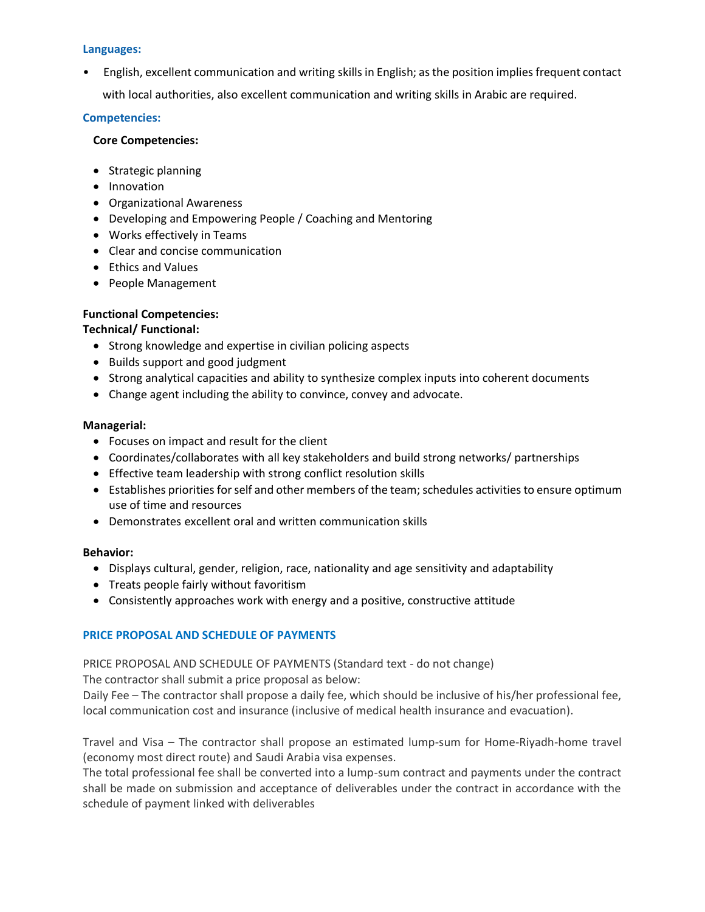#### **Languages:**

• English, excellent communication and writing skills in English; as the position implies frequent contact with local authorities, also excellent communication and writing skills in Arabic are required.

#### **Competencies:**

#### **Core Competencies:**

- Strategic planning
- Innovation
- Organizational Awareness
- Developing and Empowering People / Coaching and Mentoring
- Works effectively in Teams
- Clear and concise communication
- Ethics and Values
- People Management

### **Functional Competencies:**

### **Technical/ Functional:**

- Strong knowledge and expertise in civilian policing aspects
- Builds support and good judgment
- Strong analytical capacities and ability to synthesize complex inputs into coherent documents
- Change agent including the ability to convince, convey and advocate.

#### **Managerial:**

- Focuses on impact and result for the client
- Coordinates/collaborates with all key stakeholders and build strong networks/ partnerships
- Effective team leadership with strong conflict resolution skills
- Establishes priorities for self and other members of the team; schedules activities to ensure optimum use of time and resources
- Demonstrates excellent oral and written communication skills

### **Behavior:**

- Displays cultural, gender, religion, race, nationality and age sensitivity and adaptability
- Treats people fairly without favoritism
- Consistently approaches work with energy and a positive, constructive attitude

### **PRICE PROPOSAL AND SCHEDULE OF PAYMENTS**

PRICE PROPOSAL AND SCHEDULE OF PAYMENTS (Standard text - do not change)

The contractor shall submit a price proposal as below:

Daily Fee – The contractor shall propose a daily fee, which should be inclusive of his/her professional fee, local communication cost and insurance (inclusive of medical health insurance and evacuation).

Travel and Visa – The contractor shall propose an estimated lump-sum for Home-Riyadh-home travel (economy most direct route) and Saudi Arabia visa expenses.

The total professional fee shall be converted into a lump-sum contract and payments under the contract shall be made on submission and acceptance of deliverables under the contract in accordance with the schedule of payment linked with deliverables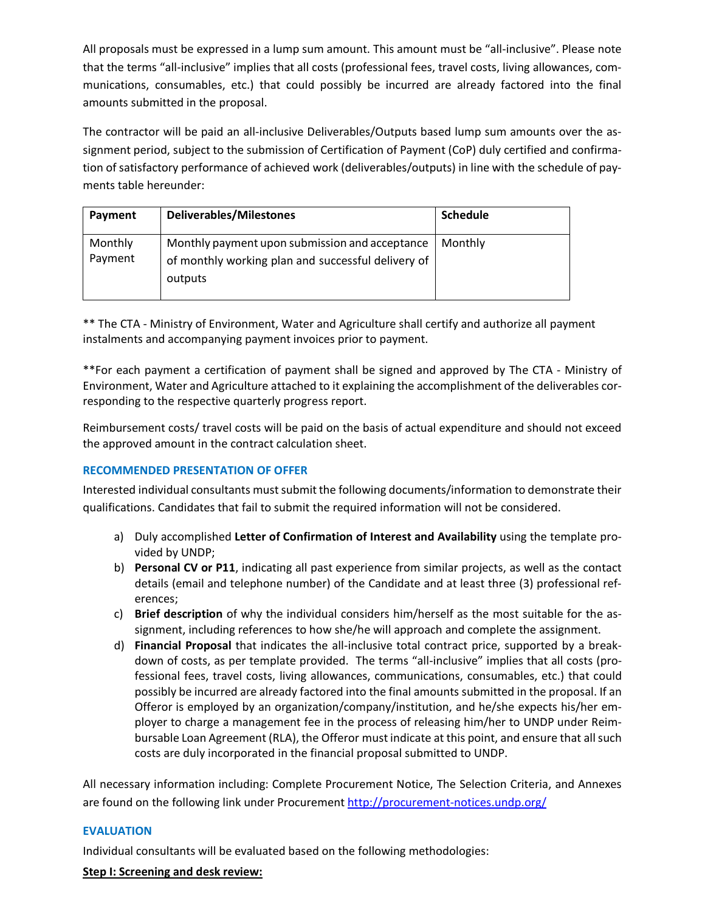All proposals must be expressed in a lump sum amount. This amount must be "all-inclusive". Please note that the terms "all-inclusive" implies that all costs (professional fees, travel costs, living allowances, communications, consumables, etc.) that could possibly be incurred are already factored into the final amounts submitted in the proposal.

The contractor will be paid an all-inclusive Deliverables/Outputs based lump sum amounts over the assignment period, subject to the submission of Certification of Payment (CoP) duly certified and confirmation of satisfactory performance of achieved work (deliverables/outputs) in line with the schedule of payments table hereunder:

| Payment            | <b>Deliverables/Milestones</b>                                                                                  | <b>Schedule</b> |
|--------------------|-----------------------------------------------------------------------------------------------------------------|-----------------|
| Monthly<br>Payment | Monthly payment upon submission and acceptance<br>of monthly working plan and successful delivery of<br>outputs | Monthly         |

\*\* The CTA - Ministry of Environment, Water and Agriculture shall certify and authorize all payment instalments and accompanying payment invoices prior to payment.

\*\*For each payment a certification of payment shall be signed and approved by The CTA - Ministry of Environment, Water and Agriculture attached to it explaining the accomplishment of the deliverables corresponding to the respective quarterly progress report.

Reimbursement costs/ travel costs will be paid on the basis of actual expenditure and should not exceed the approved amount in the contract calculation sheet.

# **RECOMMENDED PRESENTATION OF OFFER**

Interested individual consultants must submit the following documents/information to demonstrate their qualifications. Candidates that fail to submit the required information will not be considered.

- a) Duly accomplished **Letter of Confirmation of Interest and Availability** using the template provided by UNDP;
- b) **Personal CV or P11**, indicating all past experience from similar projects, as well as the contact details (email and telephone number) of the Candidate and at least three (3) professional references;
- c) **Brief description** of why the individual considers him/herself as the most suitable for the assignment, including references to how she/he will approach and complete the assignment.
- d) **Financial Proposal** that indicates the all-inclusive total contract price, supported by a breakdown of costs, as per template provided. The terms "all-inclusive" implies that all costs (professional fees, travel costs, living allowances, communications, consumables, etc.) that could possibly be incurred are already factored into the final amounts submitted in the proposal. If an Offeror is employed by an organization/company/institution, and he/she expects his/her employer to charge a management fee in the process of releasing him/her to UNDP under Reimbursable Loan Agreement (RLA), the Offeror must indicate at this point, and ensure that all such costs are duly incorporated in the financial proposal submitted to UNDP.

All necessary information including: Complete Procurement Notice, The Selection Criteria, and Annexes are found on the following link under Procurement <http://procurement-notices.undp.org/>

#### **EVALUATION**

Individual consultants will be evaluated based on the following methodologies:

### **Step I: Screening and desk review:**